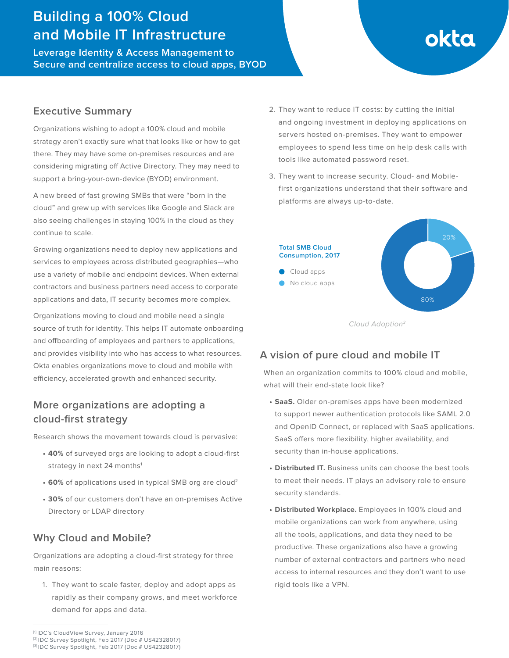## **Building a 100% Cloud and Mobile IT Infrastructure**

**Leverage Identity & Access Management to Secure and centralize access to cloud apps, BYOD** 

# okta

## **Executive Summary**

Organizations wishing to adopt a 100% cloud and mobile strategy aren't exactly sure what that looks like or how to get there. They may have some on-premises resources and are considering migrating off Active Directory. They may need to support a bring-your-own-device (BYOD) environment.

A new breed of fast growing SMBs that were "born in the cloud" and grew up with services like Google and Slack are also seeing challenges in staying 100% in the cloud as they continue to scale.

Growing organizations need to deploy new applications and services to employees across distributed geographies—who use a variety of mobile and endpoint devices. When external contractors and business partners need access to corporate applications and data, IT security becomes more complex.

Organizations moving to cloud and mobile need a single source of truth for identity. This helps IT automate onboarding and offboarding of employees and partners to applications, and provides visibility into who has access to what resources. Okta enables organizations move to cloud and mobile with efficiency, accelerated growth and enhanced security.

## **More organizations are adopting a cloud-first strategy**

Research shows the movement towards cloud is pervasive:

- **• 40%** of surveyed orgs are looking to adopt a cloud-first strategy in next 24 months<sup>1</sup>
- **• 60%** of applications used in typical SMB org are cloud2
- **• 30%** of our customers don't have an on-premises Active Directory or LDAP directory

## **Why Cloud and Mobile?**

Organizations are adopting a cloud-first strategy for three main reasons:

1. They want to scale faster, deploy and adopt apps as rapidly as their company grows, and meet workforce demand for apps and data.

3. They want to increase security. Cloud- and Mobilefirst organizations understand that their software and platforms are always up-to-date.



## **A vision of pure cloud and mobile IT**

When an organization commits to 100% cloud and mobile, what will their end-state look like?

- **• SaaS.** Older on-premises apps have been modernized to support newer authentication protocols like SAML 2.0 and OpenID Connect, or replaced with SaaS applications. SaaS offers more flexibility, higher availability, and security than in-house applications.
- **• Distributed IT.** Business units can choose the best tools to meet their needs. IT plays an advisory role to ensure security standards.
- **• Distributed Workplace.** Employees in 100% cloud and mobile organizations can work from anywhere, using all the tools, applications, and data they need to be productive. These organizations also have a growing number of external contractors and partners who need access to internal resources and they don't want to use rigid tools like a VPN.

<sup>2.</sup> They want to reduce IT costs: by cutting the initial and ongoing investment in deploying applications on servers hosted on-premises. They want to empower employees to spend less time on help desk calls with tools like automated password reset.

<sup>[1]</sup> IDC's CloudView Survey, January 2016

<sup>[2]</sup> IDC Survey Spotlight, Feb 2017 (Doc # US42328017)

<sup>[3]</sup> IDC Survey Spotlight, Feb 2017 (Doc # US42328017)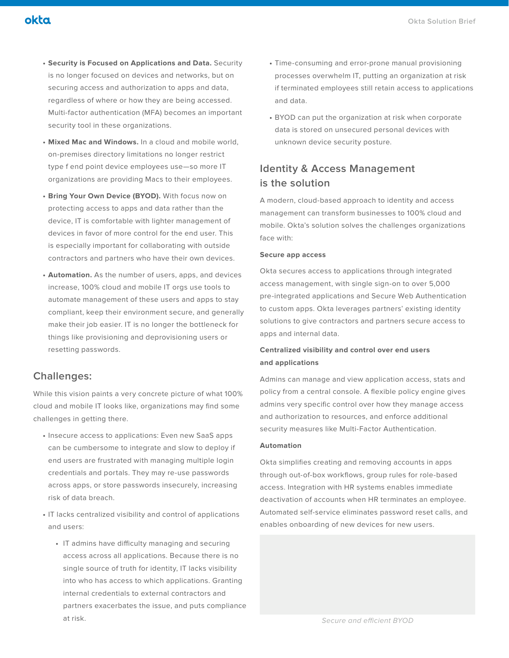- **• Mixed Mac and Windows.** In a cloud and mobile world, on-premises directory limitations no longer restrict type f end point device employees use—so more IT organizations are providing Macs to their employees.
- **• Bring Your Own Device (BYOD).** With focus now on protecting access to apps and data rather than the device, IT is comfortable with lighter management of devices in favor of more control for the end user. This is especially important for collaborating with outside contractors and partners who have their own devices.
- **• Automation.** As the number of users, apps, and devices increase, 100% cloud and mobile IT orgs use tools to automate management of these users and apps to stay compliant, keep their environment secure, and generally make their job easier. IT is no longer the bottleneck for things like provisioning and deprovisioning users or resetting passwords.

### **Challenges:**

okta

While this vision paints a very concrete picture of what 100% cloud and mobile IT looks like, organizations may find some challenges in getting there.

- **•** Insecure access to applications: Even new SaaS apps can be cumbersome to integrate and slow to deploy if end users are frustrated with managing multiple login credentials and portals. They may re-use passwords across apps, or store passwords insecurely, increasing risk of data breach.
- **•** IT lacks centralized visibility and control of applications and users:
	- **•** IT admins have difficulty managing and securing access across all applications. Because there is no single source of truth for identity, IT lacks visibility into who has access to which applications. Granting internal credentials to external contractors and partners exacerbates the issue, and puts compliance at risk.
- **•** Time-consuming and error-prone manual provisioning processes overwhelm IT, putting an organization at risk if terminated employees still retain access to applications and data.
- **•** BYOD can put the organization at risk when corporate data is stored on unsecured personal devices with unknown device security posture.

## **Identity & Access Management is the solution**

A modern, cloud-based approach to identity and access management can transform businesses to 100% cloud and mobile. Okta's solution solves the challenges organizations face with:

#### **Secure app access**

Okta secures access to applications through integrated access management, with single sign-on to over 5,000 pre-integrated applications and Secure Web Authentication to custom apps. Okta leverages partners' existing identity solutions to give contractors and partners secure access to apps and internal data.

#### **Centralized visibility and control over end users and applications**

Admins can manage and view application access, stats and policy from a central console. A flexible policy engine gives admins very specific control over how they manage access and authorization to resources, and enforce additional security measures like Multi-Factor Authentication.

#### **Automation**

Okta simplifies creating and removing accounts in apps through out-of-box workflows, group rules for role-based access. Integration with HR systems enables immediate deactivation of accounts when HR terminates an employee. Automated self-service eliminates password reset calls, and enables onboarding of new devices for new users.